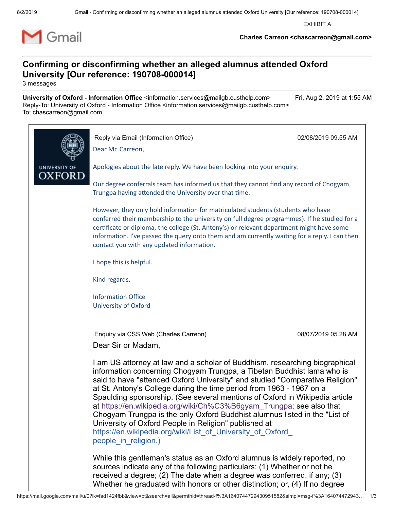EXHIBIT A



**Charles Carreon <chascarreon@gmail.com>**

#### **Confirming or disconfirming whether an alleged alumnus attended Oxford University [Our reference: 190708-000014]**

3 messages

**University of Oxford - Information Office** <information.services@mailgb.custhelp.com> Fri, Aug 2, 2019 at 1:55 AM Reply-To: University of Oxford - Information Office <information.services@mailgb.custhelp.com> To: chascarreon@gmail.com

|               | Reply via Email (Information Office)<br>Dear Mr. Carreon,                                                                                                                                                                                                                                                                                                                                                                                                                                                                                                                                                                                                                                         | 02/08/2019 09.55 AM |
|---------------|---------------------------------------------------------------------------------------------------------------------------------------------------------------------------------------------------------------------------------------------------------------------------------------------------------------------------------------------------------------------------------------------------------------------------------------------------------------------------------------------------------------------------------------------------------------------------------------------------------------------------------------------------------------------------------------------------|---------------------|
| UNIVERSITY OF | Apologies about the late reply. We have been looking into your enquiry.                                                                                                                                                                                                                                                                                                                                                                                                                                                                                                                                                                                                                           |                     |
| OXFORD        | Our degree conferrals team has informed us that they cannot find any record of Chogyam<br>Trungpa having attended the University over that time.                                                                                                                                                                                                                                                                                                                                                                                                                                                                                                                                                  |                     |
|               | However, they only hold information for matriculated students (students who have<br>conferred their membership to the university on full degree programmes). If he studied for a<br>certificate or diploma, the college (St. Antony's) or relevant department might have some<br>information. I've passed the query onto them and am currently waiting for a reply. I can then<br>contact you with any updated information.                                                                                                                                                                                                                                                                       |                     |
|               | I hope this is helpful.<br>Kind regards,<br><b>Information Office</b><br><b>University of Oxford</b>                                                                                                                                                                                                                                                                                                                                                                                                                                                                                                                                                                                              |                     |
|               |                                                                                                                                                                                                                                                                                                                                                                                                                                                                                                                                                                                                                                                                                                   |                     |
|               |                                                                                                                                                                                                                                                                                                                                                                                                                                                                                                                                                                                                                                                                                                   |                     |
|               | Enquiry via CSS Web (Charles Carreon)<br>Dear Sir or Madam,                                                                                                                                                                                                                                                                                                                                                                                                                                                                                                                                                                                                                                       | 08/07/2019 05.28 AM |
|               | I am US attorney at law and a scholar of Buddhism, researching biographical<br>information concerning Chogyam Trungpa, a Tibetan Buddhist lama who is<br>said to have "attended Oxford University" and studied "Comparative Religion"<br>at St. Antony's College during the time period from 1963 - 1967 on a<br>Spaulding sponsorship. (See several mentions of Oxford in Wikipedia article<br>at https://en.wikipedia.org/wiki/Ch%C3%B6gyam Trungpa; see also that<br>Chogyam Trungpa is the only Oxford Buddhist alumnus listed in the "List of<br>University of Oxford People in Religion" published at<br>https://en.wikipedia.org/wiki/List of University of Oxford<br>people in religion.) |                     |
|               | While this gentleman's status as an Oxford alumnus is widely reported, no<br>sources indicate any of the following particulars: (1) Whether or not he<br>received a degree; (2) The date when a degree was conferred, if any; (3)                                                                                                                                                                                                                                                                                                                                                                                                                                                                 |                     |

Whether he graduated with honors or other distinction; or, (4) If no degree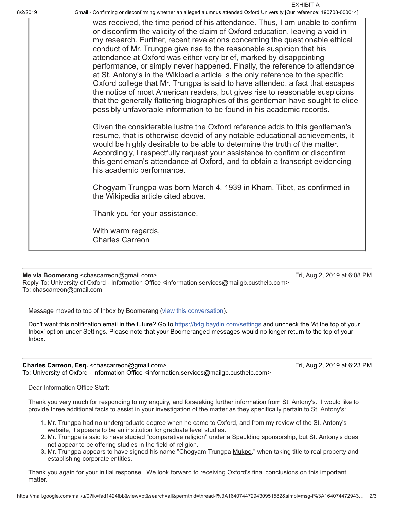8/2/2019 Gmail - Confirming or disconfirming whether an alleged alumnus attended Oxford University [Our reference: 190708-000014]

was received, the time period of his attendance. Thus, I am unable to confirm or disconfirm the validity of the claim of Oxford education, leaving a void in my research. Further, recent revelations concerning the questionable ethical conduct of Mr. Trungpa give rise to the reasonable suspicion that his attendance at Oxford was either very brief, marked by disappointing performance, or simply never happened. Finally, the reference to attendance at St. Antony's in the Wikipedia article is the only reference to the specific Oxford college that Mr. Trungpa is said to have attended, a fact that escapes the notice of most American readers, but gives rise to reasonable suspicions that the generally flattering biographies of this gentleman have sought to elide possibly unfavorable information to be found in his academic records.

Given the considerable lustre the Oxford reference adds to this gentleman's resume, that is otherwise devoid of any notable educational achievements, it would be highly desirable to be able to determine the truth of the matter. Accordingly, I respectfully request your assistance to confirm or disconfirm this gentleman's attendance at Oxford, and to obtain a transcript evidencing his academic performance.

Chogyam Trungpa was born March 4, 1939 in Kham, Tibet, as confirmed in the Wikipedia article cited above.

Thank you for your assistance.

With warm regards, Charles Carreon

**Me via Boomerang** <chascarreon@gmail.com> **Fri, Aug 2, 2019 at 6:08 PM** Reply-To: University of Oxford - Information Office <information.services@mailgb.custhelp.com> To: chascarreon@gmail.com

EXHIBIT A

[---001:002717:16104---]

Message moved to top of Inbox by Boomerang (view this conversation).

Don't want this notification email in the future? Go to https://b4g.baydin.com/settings and uncheck the 'At the top of your Inbox' option under Settings. Please note that your Boomeranged messages would no longer return to the top of your Inbox.

Charles Carreon, Esq. <chascarreon@gmail.com>
Fri, Aug 2, 2019 at 6:23 PM To: University of Oxford - Information Office <information.services@mailgb.custhelp.com>

Dear Information Office Staff:

Thank you very much for responding to my enquiry, and forseeking further information from St. Antony's. I would like to provide three additional facts to assist in your investigation of the matter as they specifically pertain to St. Antony's:

- 1. Mr. Trungpa had no undergraduate degree when he came to Oxford, and from my review of the St. Antony's website, it appears to be an institution for graduate level studies.
- 2. Mr. Trungpa is said to have studied "comparative religion" under a Spaulding sponsorship, but St. Antony's does not appear to be offering studies in the field of religion.
- 3. Mr. Trungpa appears to have signed his name "Chogyam Trungpa Mukpo," when taking title to real property and establishing corporate entities.

Thank you again for your initial response. We look forward to receiving Oxford's final conclusions on this important matter.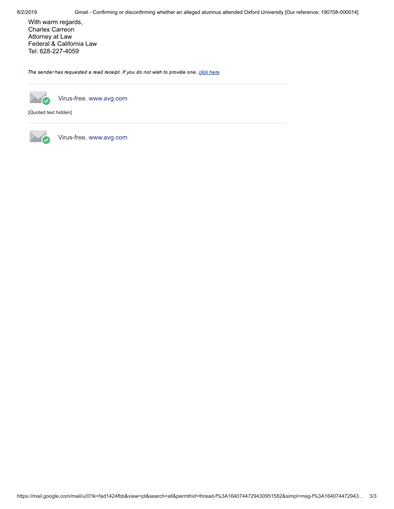With warm regards, Charles Carreon Attorney at Law Federal & California Law Tel: 628-227-4059

The sender has requested a read receipt. If you do not wish to provide one, click here.



Virus-free. www.avg.com

[Quoted text hidden]



Virus-free. www.avg.com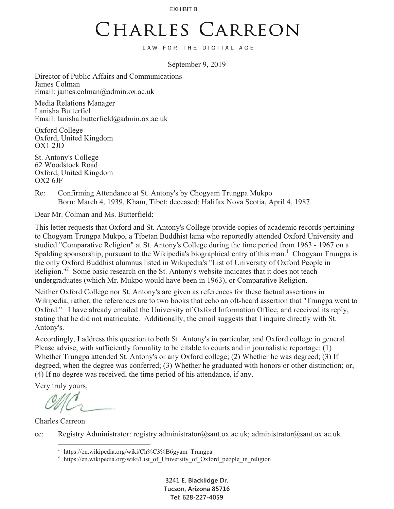EXHIBIT B

### CHARLES CARREON

LAW FOR THE DIGITAL AGE

September 9, 2019

Director of Public Affairs and Communications James Colman Email: james.colman@admin.ox.ac.uk

Media Relations Manager Lanisha Butterfiel Email: lanisha.butterfield@admin.ox.ac.uk

Oxford College Oxford, United Kingdom OX1 2JD

St. Antony's College 62 Woodstock Road Oxford, United Kingdom OX2 6JF

Re: Confirming Attendance at St. Antony's by Chogyam Trungpa Mukpo Born: March 4, 1939, Kham, Tibet; deceased: Halifax Nova Scotia, April 4, 1987.

Dear Mr. Colman and Ms. Butterfield:

This letter requests that Oxford and St. Antony's College provide copies of academic records pertaining to Chogyam Trungpa Mukpo, a Tibetan Buddhist lama who reportedly attended Oxford University and studied "Comparative Religion" at St. Antony's College during the time period from 1963 - 1967 on a Spalding sponsorship, pursuant to the Wikipedia's biographical entry of this man.<sup>1</sup> Chogyam Trungpa is the only Oxford Buddhist alumnus listed in Wikipedia's "List of University of Oxford People in Religion."<sup>2</sup> Some basic research on the St. Antony's website indicates that it does not teach undergraduates (which Mr. Mukpo would have been in 1963), or Comparative Religion.

Neither Oxford College nor St. Antony's are given as references for these factual assertions in Wikipedia; rather, the references are to two books that echo an oft-heard assertion that "Trungpa went to Oxford." I have already emailed the University of Oxford Information Office, and received its reply, stating that he did not matriculate. Additionally, the email suggests that I inquire directly with St. Antony's.

Accordingly, I address this question to both St. Antony's in particular, and Oxford college in general. Please advise, with sufficiently formality to be citable to courts and in journalistic reportage: (1) Whether Trungpa attended St. Antony's or any Oxford college; (2) Whether he was degreed; (3) If degreed, when the degree was conferred; (3) Whether he graduated with honors or other distinction; or, (4) If no degree was received, the time period of his attendance, if any.

Very truly yours,

Charles Carreon

e<br>S

cc: Registry Administrator: registry.administrator@sant.ox.ac.uk; administrator@sant.ox.ac.uk

**3241 E. Blacklidge Dr. Tucson, Arizona 85716 Tel: 628-227-4059** 

<sup>1</sup> https://en.wikipedia.org/wiki/Ch%C3%B6gyam\_Trungpa

https://en.wikipedia.org/wiki/List\_of\_University\_of\_Oxford\_people\_in\_religion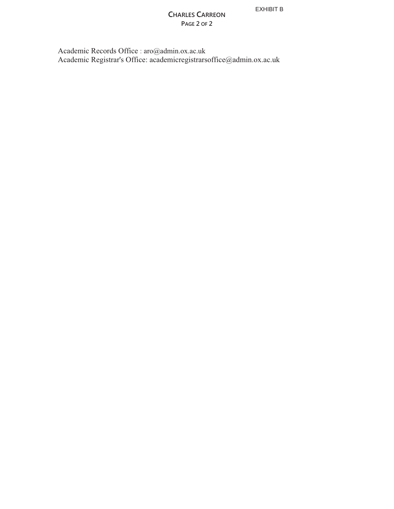EXHIBIT B

#### **CHARLES CARREON PAGE 2 OF 2**

 Academic Records Office : aro@admin.ox.ac.uk Academic Registrar's Office: academicregistrarsoffice@admin.ox.ac.uk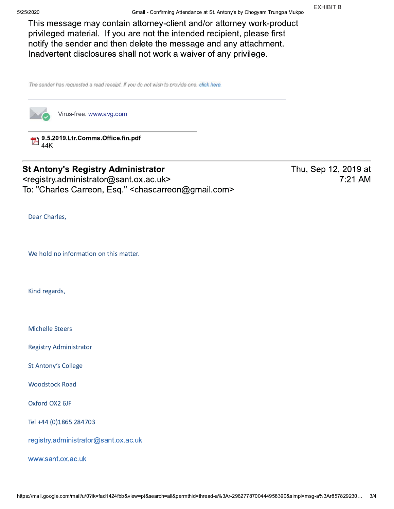This message may contain attorney-client and/or attorney work-product privileged material. If you are not the intended recipient, please first notify the sender and then delete the message and any attachment. Inadvertent disclosures shall not work a waiver of any privilege.

The sender has requested a read receipt. If you do not wish to provide one, click here.



Virus-free. www.avg.com

9.5.2019.Ltr.Comms.Office.fin.pdf  $\mathbb{Z}_{44K}$ 

### **St Antony's Registry Administrator**

<registry.administrator@sant.ox.ac.uk> To: "Charles Carreon, Esq." <chascarreon@gmail.com>

Dear Charles,

We hold no information on this matter.

Kind regards,

**Michelle Steers** 

**Registry Administrator** 

**St Antony's College** 

**Woodstock Road** 

Oxford OX2 6JF

Tel +44 (0)1865 284703

registry.administrator@sant.ox.ac.uk

www.sant.ox.ac.uk

Thu, Sep 12, 2019 at 7:21 AM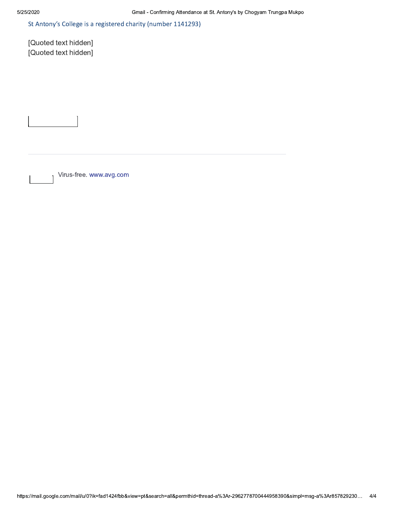St Antony's College is a registered charity (number 1141293)

[Quoted text hidden] [Quoted text hidden]

Virus-free. www.avg.com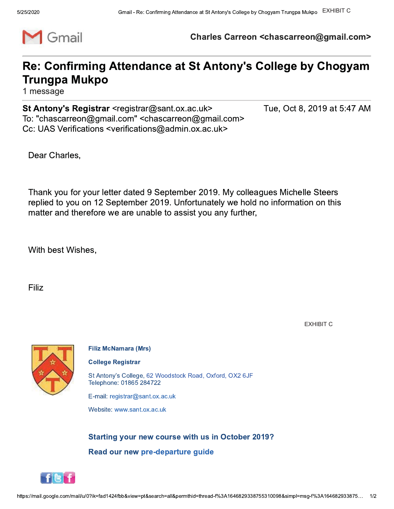

Charles Carreon <chascarreon@gmail.com>

### Re: Confirming Attendance at St Antony's College by Chogyam **Trungpa Mukpo**

1 message

St Antony's Registrar <registrar@sant.ox.ac.uk> To: "chascarreon@gmail.com" <chascarreon@gmail.com> Cc: UAS Verifications <verifications@admin.ox.ac.uk>

Tue, Oct 8, 2019 at 5:47 AM

Dear Charles,

Thank you for your letter dated 9 September 2019. My colleagues Michelle Steers replied to you on 12 September 2019. Unfortunately we hold no information on this matter and therefore we are unable to assist you any further,

With best Wishes,

Filiz

**EXHIBIT C** 



**Filiz McNamara (Mrs)** 

**College Registrar** 

St Antony's College, 62 Woodstock Road, Oxford, OX2 6JF Telephone: 01865 284722

E-mail: registrar@sant.ox.ac.uk

Website: www.sant.ox.ac.uk

**Starting your new course with us in October 2019?** Read our new pre-departure guide

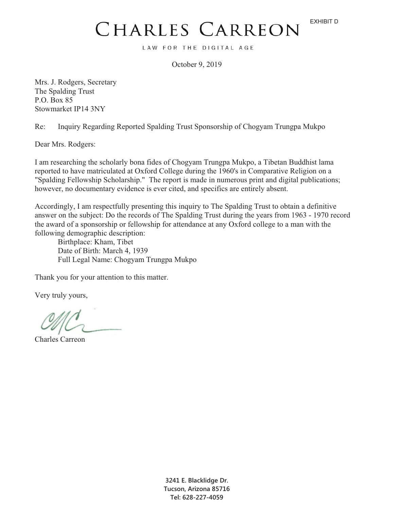# CHARLES CARREON

LAW FOR THE DIGITAL AGE

October 9, 2019

Mrs. J. Rodgers, Secretary The Spalding Trust P.O. Box 85 Stowmarket IP14 3NY

Re: Inquiry Regarding Reported Spalding Trust Sponsorship of Chogyam Trungpa Mukpo

Dear Mrs. Rodgers:

I am researching the scholarly bona fides of Chogyam Trungpa Mukpo, a Tibetan Buddhist lama reported to have matriculated at Oxford College during the 1960's in Comparative Religion on a "Spalding Fellowship Scholarship." The report is made in numerous print and digital publications; however, no documentary evidence is ever cited, and specifics are entirely absent.

Accordingly, I am respectfully presenting this inquiry to The Spalding Trust to obtain a definitive answer on the subject: Do the records of The Spalding Trust during the years from 1963 - 1970 record the award of a sponsorship or fellowship for attendance at any Oxford college to a man with the following demographic description:

Birthplace: Kham, Tibet Date of Birth: March 4, 1939 Full Legal Name: Chogyam Trungpa Mukpo

Thank you for your attention to this matter.

Very truly yours,

Charles Carreon

**3241 E. Blacklidge Dr. Tucson, Arizona 85716 Tel: 628-227-4059**